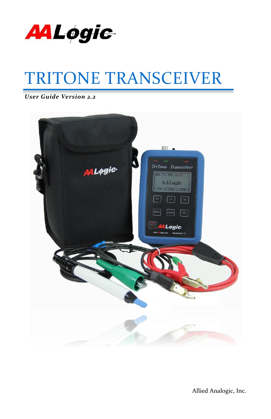

# TRITONE TRANSCEIVER

*User Guide Version 2.2*



Allied Analogic, Inc.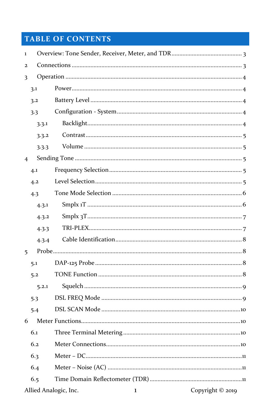# **TABLE OF CONTENTS**

| $\mathbf 1$    |       |                                       |                  |  |
|----------------|-------|---------------------------------------|------------------|--|
| $\overline{2}$ |       |                                       |                  |  |
| 3              |       |                                       |                  |  |
|                | 3.1   |                                       |                  |  |
|                | 3.2   |                                       |                  |  |
|                | 3.3   |                                       |                  |  |
|                | 3.3.1 |                                       |                  |  |
|                | 3.3.2 |                                       |                  |  |
|                | 3.3.3 |                                       |                  |  |
| $\overline{4}$ |       |                                       |                  |  |
|                | 4.1   |                                       |                  |  |
|                | 4.2   |                                       |                  |  |
|                | 4.3   |                                       |                  |  |
|                | 4.3.1 |                                       |                  |  |
|                | 4.3.2 |                                       |                  |  |
|                | 4.3.3 |                                       |                  |  |
|                | 4.3.4 |                                       |                  |  |
| 5              |       |                                       |                  |  |
|                | 5.1   |                                       |                  |  |
|                | 5.2   |                                       |                  |  |
|                | 5.2.1 |                                       |                  |  |
|                | 5.3   |                                       |                  |  |
|                | 5.4   |                                       |                  |  |
| 6              |       |                                       |                  |  |
|                | 6.1   |                                       |                  |  |
|                | 6.2   |                                       |                  |  |
|                | 6.3   |                                       |                  |  |
|                | 6.4   |                                       |                  |  |
|                | 6.5   |                                       |                  |  |
|                |       | Allied Analogic, Inc.<br>$\mathbf{1}$ | Copyright © 2019 |  |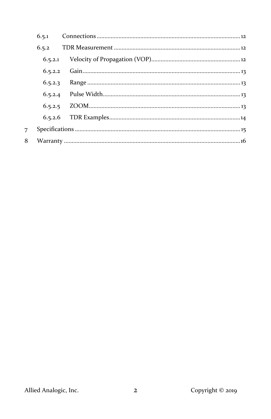| 6.5.1      |  |  |  |
|------------|--|--|--|
| 6.5.2      |  |  |  |
|            |  |  |  |
| 6, 5, 2, 2 |  |  |  |
| 6.5.2.3    |  |  |  |
|            |  |  |  |
| 6, 5, 2, 5 |  |  |  |
|            |  |  |  |
|            |  |  |  |
|            |  |  |  |

 $\overline{7}$  $\bf{8}$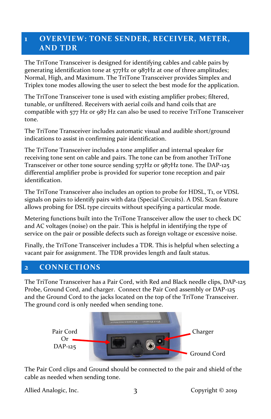#### <span id="page-3-0"></span>**1 OVERVIEW: TONE SENDER, RECEIVER, METER, AND TDR**

The TriTone Transceiver is designed for identifying cables and cable pairs by generating identification tone at 577Hz or 987Hz at one of three amplitudes; Normal, High, and Maximum. The TriTone Transceiver provides Simplex and Triplex tone modes allowing the user to select the best mode for the application.

The TriTone Transceiver tone is used with existing amplifier probes; filtered, tunable, or unfiltered. Receivers with aerial coils and hand coils that are compatible with 577 Hz or 987 Hz can also be used to receive TriTone Transceiver tone.

The TriTone Transceiver includes automatic visual and audible short/ground indications to assist in confirming pair identification.

The TriTone Transceiver includes a tone amplifier and internal speaker for receiving tone sent on cable and pairs. The tone can be from another TriTone Transceiver or other tone source sending 577Hz or 987Hz tone. The DAP-125 differential amplifier probe is provided for superior tone reception and pair identification.

The TriTone Transceiver also includes an option to probe for HDSL, T1, or VDSL signals on pairs to identify pairs with data (Special Circuits). A DSL Scan feature allows probing for DSL type circuits without specifying a particular mode.

Metering functions built into the TriTone Transceiver allow the user to check DC and AC voltages (noise) on the pair. This is helpful in identifying the type of service on the pair or possible defects such as foreign voltage or excessive noise.

Finally, the TriTone Transceiver includes a TDR. This is helpful when selecting a vacant pair for assignment. The TDR provides length and fault status.

#### <span id="page-3-1"></span>**2 CONNECTIONS**

The TriTone Transceiver has a Pair Cord, with Red and Black needle clips, DAP-125 Probe, Ground Cord, and charger. Connect the Pair Cord assembly or DAP-125 and the Ground Cord to the jacks located on the top of the TriTone Transceiver. The ground cord is only needed when sending tone.



The Pair Cord clips and Ground should be connected to the pair and shield of the cable as needed when sending tone.

Allied Analogic, Inc. 3 3 Copyright © 2019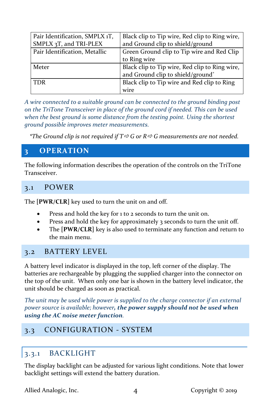| Pair Identification, SMPLX 1T, | Black clip to Tip wire, Red clip to Ring wire, |
|--------------------------------|------------------------------------------------|
| SMPLX $3T$ , and TRI-PLEX      | and Ground clip to shield/ground               |
| Pair Identification, Metallic  | Green Ground clip to Tip wire and Red Clip     |
|                                | to Ring wire                                   |
| Meter                          | Black clip to Tip wire, Red clip to Ring wire, |
|                                | and Ground clip to shield/ground*              |
| <b>TDR</b>                     | Black clip to Tip wire and Red clip to Ring    |
|                                | wire                                           |

*A wire connected to a suitable ground can be connected to the ground binding post on the TriTone Transceiver in place of the ground cord if needed. This can be used when the best ground is some distance from the testing point. Using the shortest ground possible improves meter measurements.*

*\*The Ground clip is not required if T G or R G measurements are not needed.*

## <span id="page-4-0"></span>**3 OPERATION**

The following information describes the operation of the controls on the TriTone Transceiver.

## <span id="page-4-1"></span>3.1 POWER

The **[PWR/CLR]** key used to turn the unit on and off.

- Press and hold the key for 1 to 2 seconds to turn the unit on.
- Press and hold the key for approximately 3 seconds to turn the unit off.
- The **[PWR/CLR]** key is also used to terminate any function and return to the main menu.

## <span id="page-4-2"></span>3.2 BATTERY LEVEL

A battery level indicator is displayed in the top, left corner of the display. The batteries are rechargeable by plugging the supplied charger into the connector on the top of the unit. When only one bar is shown in the battery level indicator, the unit should be charged as soon as practical.

*The unit may be used while power is supplied to the charge connector if an external power source is available; however, the power supply should not be used when using the AC noise meter function.*

## <span id="page-4-4"></span><span id="page-4-3"></span>3.3 CONFIGURATION - SYSTEM

## 3.3.1 BACKLIGHT

The display backlight can be adjusted for various light conditions. Note that lower backlight settings will extend the battery duration.

Allied Analogic, Inc.  $\begin{array}{ccc} 4 & \phantom{-}4 & \phantom{-}0 & \phantom{-}0 & \phantom{-}0 & \phantom{-}0 & \phantom{-}0 & \phantom{-}0 & \phantom{-}0 & \phantom{-}0 & \phantom{-}0 & \phantom{-}0 & \phantom{-}0 & \phantom{-}0 & \phantom{-}0 & \phantom{-}0 & \phantom{-}0 & \phantom{-}0 & \phantom{-}0 & \phantom{-}0 & \phantom{-}0 & \phantom{-}0 & \phantom{-}0 & \phantom{-}0 & \phantom{-}0 & \phantom{-}0 & \phantom{-}0 & \phantom{-}0 &$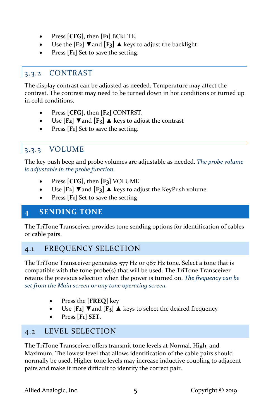- Press **[CFG]**, then **[F1]** BCKLTE.
- Use the **[F2]** ▼and **[F3]** ▲ keys to adjust the backlight
- Press [F<sub>1</sub>] Set to save the setting.

## <span id="page-5-0"></span>3.3.2 CONTRAST

The display contrast can be adjusted as needed. Temperature may affect the contrast. The contrast may need to be turned down in hot conditions or turned up in cold conditions.

- Press **[CFG]**, then **[F2]** CONTRST.
- Use **[F2]** ▼and **[F3]** ▲ keys to adjust the contrast
- Press [F<sub>1</sub>] Set to save the setting.

# <span id="page-5-1"></span>3.3.3 VOLUME

The key push beep and probe volumes are adjustable as needed. *The probe volume is adjustable in the probe function.*

- Press **[CFG]**, then **[F3]** VOLUME
- Use **[F2]** ▼and **[F3]** ▲ keys to adjust the KeyPush volume
- Press **[F1]** Set to save the setting

## <span id="page-5-2"></span>**4 SENDING TONE**

The TriTone Transceiver provides tone sending options for identification of cables or cable pairs.

## <span id="page-5-3"></span>4.1 FREQUENCY SELECTION

The TriTone Transceiver generates 577 Hz or 987 Hz tone. Select a tone that is compatible with the tone  $probe(s)$  that will be used. The TriTone Transceiver retains the previous selection when the power is turned on. *The frequency can be set from the Main screen or any tone operating screen.*

- Press the **[FREQ]** key
- Use **[F2]** ▼ and **[F3]** ▲ keys to select the desired frequency
- Press **[F1] SET**.

## <span id="page-5-4"></span>4.2 LEVEL SELECTION

The TriTone Transceiver offers transmit tone levels at Normal, High, and Maximum. The lowest level that allows identification of the cable pairs should normally be used. Higher tone levels may increase inductive coupling to adjacent pairs and make it more difficult to identify the correct pair.

Allied Analogic, Inc. 5 5 Copyright © 2019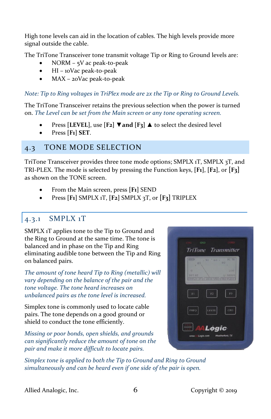High tone levels can aid in the location of cables. The high levels provide more signal outside the cable.

The TriTone Transceiver tone transmit voltage Tip or Ring to Ground levels are:

- NORM 5V ac peak-to-peak
- HI 10Vac peak-to-peak
- MAX 20Vac peak-to-peak

*Note: Tip to Ring voltages in TriPlex mode are 2x the Tip or Ring to Ground Levels.*

The TriTone Transceiver retains the previous selection when the power is turned on. *The Level can be set from the Main screen or any tone operating screen.*

- Press **[LEVEL]**, use **[F2] ▼and [F3] ▲** to select the desired level
- Press **[F1] SET**.

## <span id="page-6-0"></span>4.3 TONE MODE SELECTION

TriTone Transceiver provides three tone mode options; SMPLX 1T, SMPLX 3T, and TRI-PLEX. The mode is selected by pressing the Function keys, **[F1]**, **[F2]**, or **[F3]** as shown on the TONE screen.

- From the Main screen, press **[F1]** SEND
- Press **[F1]** SMPLX 1T, **[F2]** SMPLX 3T, or **[F3]** TRIPLEX

#### <span id="page-6-1"></span>4.3.1 SMPLX 1T

SMPLX 1T applies tone to the Tip to Ground and the Ring to Ground at the same time. The tone is balanced and in phase on the Tip and Ring eliminating audible tone between the Tip and Ring on balanced pairs.

*The amount of tone heard Tip to Ring (metallic) will vary depending on the balance of the pair and the tone voltage. The tone heard increases on unbalanced pairs as the tone level is increased.*

Simplex tone is commonly used to locate cable pairs. The tone depends on a good ground or shield to conduct the tone efficiently.

*Missing or poor bonds, open shields, and grounds can significantly reduce the amount of tone on the pair and make it more difficult to locate pairs.*



*Simplex tone is applied to both the Tip to Ground and Ring to Ground simultaneously and can be heard even if one side of the pair is open.*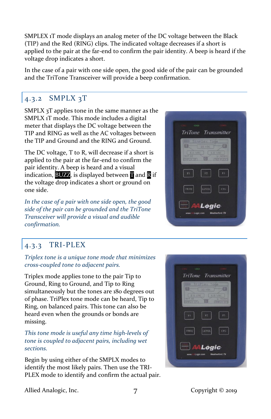SMPLEX 1T mode displays an analog meter of the DC voltage between the Black (TIP) and the Red (RING) clips. The indicated voltage decreases if a short is applied to the pair at the far-end to confirm the pair identity. A beep is heard if the voltage drop indicates a short.

In the case of a pair with one side open, the good side of the pair can be grounded and the TriTone Transceiver will provide a beep confirmation.

## <span id="page-7-0"></span>4.3.2 SMPLX 3T

SMPLX 3T applies tone in the same manner as the SMPLX 1T mode. This mode includes a digital meter that displays the DC voltage between the TIP and RING as well as the AC voltages between the TIP and Ground and the RING and Ground.

The DC voltage, T to R, will decrease if a short is applied to the pair at the far-end to confirm the pair identity. A beep is heard and a visual indication,  $BUXZ$ , is displayed between  $\P$  and  $\overline{R}$  if the voltage drop indicates a short or ground on one side.

*In the case of a pair with one side open, the good side of the pair can be grounded and the TriTone Transceiver will provide a visual and audible confirmation.*

## <span id="page-7-1"></span>4.3.3 TRI-PLEX

*Triplex tone is a unique tone mode that minimizes cross-coupled tone to adjacent pairs.*

Triplex mode applies tone to the pair Tip to Ground, Ring to Ground, and Tip to Ring simultaneously but the tones are 180 degrees out of phase. TriPlex tone mode can be heard, Tip to Ring, on balanced pairs. This tone can also be heard even when the grounds or bonds are missing.

*This tone mode is useful any time high-levels of tone is coupled to adjacent pairs, including wet sections.*

Begin by using either of the SMPLX modes to identify the most likely pairs. Then use the TRI-PLEX mode to identify and confirm the actual pair.





Allied Analogic, Inc. 7 7 Copyright © 2019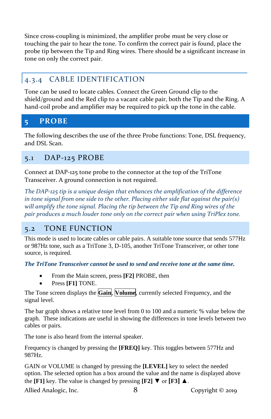Since cross-coupling is minimized, the amplifier probe must be very close or touching the pair to hear the tone. To confirm the correct pair is found, place the probe tip between the Tip and Ring wires. There should be a significant increase in tone on only the correct pair.

## <span id="page-8-0"></span>4.3.4 CABLE IDENTIFICATION

Tone can be used to locate cables. Connect the Green Ground clip to the shield/ground and the Red clip to a vacant cable pair, both the Tip and the Ring. A hand-coil probe and amplifier may be required to pick up the tone in the cable.

## <span id="page-8-1"></span>**5 PROBE**

The following describes the use of the three Probe functions: Tone, DSL frequency, and DSL Scan.

## <span id="page-8-2"></span>5.1 DAP-125 PROBE

Connect at DAP-125 tone probe to the connector at the top of the TriTone Transceiver. A ground connection is not required.

*The DAP-125 tip is a unique design that enhances the amplification of the difference in tone signal from one side to the other. Placing either side flat against the pair(s) will amplify the tone signal. Placing the tip between the Tip and Ring wires of the pair produces a much louder tone only on the correct pair when using TriPlex tone.*

#### <span id="page-8-3"></span>5.2 TONE FUNCTION

This mode is used to locate cables or cable pairs. A suitable tone source that sends 577Hz or 987Hz tone, such as a TriTone 3, D-105, another TriTone Transceiver, or other tone source, is required.

*The TriTone Transceiver cannot be used to send and receive tone at the same time.*

- From the Main screen, press **[F2]** PROBE, then
- Press **[F1]** TONE.

The Tone screen displays the **Gain**, **Volume**, currently selected Frequency, and the signal level.

The bar graph shows a relative tone level from 0 to 100 and a numeric % value below the graph. These indications are useful in showing the differences in tone levels between two cables or pairs.

The tone is also heard from the internal speaker.

Frequency is changed by pressing the **[FREQ]** key. This toggles between 577Hz and 987Hz.

GAIN or VOLUME is changed by pressing the **[LEVEL]** key to select the needed option. The selected option has a box around the value and the name is displayed above the **[F1]** key. The value is changed by pressing **[F2]**  $\blacktriangledown$  or **[F3]**  $\blacktriangle$ .

Allied Analogic, Inc.  $\begin{array}{ccc} 8 \\ 2019 \end{array}$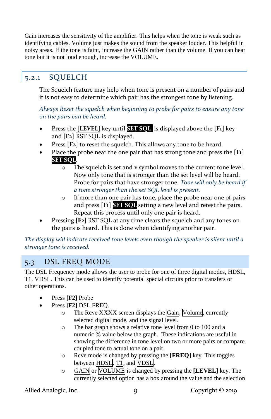Gain increases the sensitivity of the amplifier. This helps when the tone is weak such as identifying cables. Volume just makes the sound from the speaker louder. This helpful in noisy areas. If the tone is faint, increase the GAIN rather than the volume. If you can hear tone but it is not loud enough, increase the VOLUME.

## <span id="page-9-0"></span>5.2.1 SQUELCH

The Squelch feature may help when tone is present on a number of pairs and it is not easy to determine which pair has the strongest tone by listening.

*Always Reset the squelch when beginning to probe for pairs to ensure any tone on the pairs can be heard.*

- Press the **[LEVEL]** key until **SET SQL** is displayed above the **[F1]** key and **[F2]** RST SQL is displayed.
- Press [F<sub>2</sub>] to reset the squelch. This allows any tone to be heard.
- Place the probe near the one pair that has strong tone and press the **[F1] SET SQL.** 
	- o The squelch is set and ᴠ symbol moves to the current tone level. Now only tone that is stronger than the set level will be heard. Probe for pairs that have stronger tone. *Tone will only be heard if a tone stronger than the set SQL level is present.*
	- o If more than one pair has tone, place the probe near one of pairs and press **[F1] SET SQL** setting a new level and retest the pairs. Repeat this process until only one pair is heard.
- Pressing **[F2]** RST SQL at any time clears the squelch and any tones on the pairs is heard. This is done when identifying another pair.

*The display will indicate received tone levels even though the speaker is silent until a stronger tone is received.*

## <span id="page-9-1"></span>5.3 DSL FREQ MODE

The DSL Frequency mode allows the user to probe for one of three digital modes, HDSL, T1, VDSL. This can be used to identify potential special circuits prior to transfers or other operations.

- Press **[F2]** Probe
- Press **[F2]** DSL FREQ.
	- o The Rcve XXXX screen displays the Gain, Volume, currently selected digital mode, and the signal level.
	- o The bar graph shows a relative tone level from 0 to 100 and a numeric % value below the graph. These indications are useful in showing the difference in tone level on two or more pairs or compare coupled tone to actual tone on a pair.
	- o Rcve mode is changed by pressing the **[FREQ]** key. This toggles between HDSL, T<sub>1</sub>, and VDSL.
	- o GAIN or VOLUME is changed by pressing the **[LEVEL]** key. The currently selected option has a box around the value and the selection

Allied Analogic, Inc. 9 9 Copyright © 2019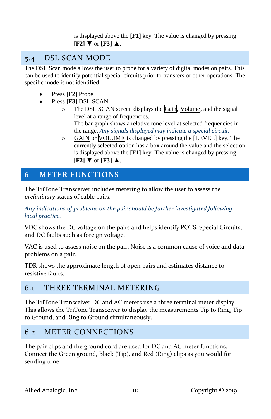is displayed above the **[F1]** key. The value is changed by pressing  $[F2]$  ▼ or  $[F3]$  **▲**.

## <span id="page-10-0"></span>5.4 DSL SCAN MODE

The DSL Scan mode allows the user to probe for a variety of digital modes on pairs. This can be used to identify potential special circuits prior to transfers or other operations. The specific mode is not identified.

- Press **[F2]** Probe
- Press **[F3]** DSL SCAN.
	- o The DSL SCAN screen displays the Gain, Volume, and the signal level at a range of frequencies. The bar graph shows a relative tone level at selected frequencies in

the range. *Any signals displayed may indicate a special circuit.*

o GAIN or VOLUME is changed by pressing the [LEVEL] key. The currently selected option has a box around the value and the selection is displayed above the **[F1]** key. The value is changed by pressing **[F2]** ▼ or **[F3]** ▲.

## <span id="page-10-1"></span>**6 METER FUNCTIONS**

The TriTone Transceiver includes metering to allow the user to assess the *preliminary* status of cable pairs.

*Any indications of problems on the pair should be further investigated following local practice.*

VDC shows the DC voltage on the pairs and helps identify POTS, Special Circuits, and DC faults such as foreign voltage.

VAC is used to assess noise on the pair. Noise is a common cause of voice and data problems on a pair.

TDR shows the approximate length of open pairs and estimates distance to resistive faults.

## <span id="page-10-2"></span>6.1 THREE TERMINAL METERING

The TriTone Transceiver DC and AC meters use a three terminal meter display. This allows the TriTone Transceiver to display the measurements Tip to Ring, Tip to Ground, and Ring to Ground simultaneously.

## <span id="page-10-3"></span>6.2 METER CONNECTIONS

The pair clips and the ground cord are used for DC and AC meter functions. Connect the Green ground, Black (Tip), and Red (Ring) clips as you would for sending tone.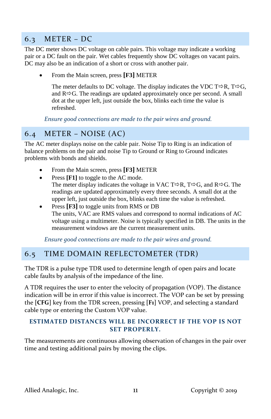## <span id="page-11-0"></span>6.3 METER – DC

The DC meter shows DC voltage on cable pairs. This voltage may indicate a working pair or a DC fault on the pair. Wet cables frequently show DC voltages on vacant pairs. DC may also be an indication of a short or cross with another pair.

• From the Main screen, press **[F3]** METER

The meter defaults to DC voltage. The display indicates the VDC T $\Rightarrow$ R, T $\Rightarrow$ G, and  $R \Rightarrow G$ . The readings are updated approximately once per second. A small dot at the upper left, just outside the box, blinks each time the value is refreshed.

*Ensure good connections are made to the pair wires and ground.*

## <span id="page-11-1"></span>6.4 METER – NOISE (AC)

The AC meter displays noise on the cable pair. Noise Tip to Ring is an indication of balance problems on the pair and noise Tip to Ground or Ring to Ground indicates problems with bonds and shields.

- From the Main screen, press **[F3]** METER
- Press **[F1]** to toggle to the AC mode.
	- The meter display indicates the voltage in VAC T $\Rightarrow$ R, T $\Rightarrow$ G, and R $\Rightarrow$ G. The readings are updated approximately every three seconds. A small dot at the upper left, just outside the box, blinks each time the value is refreshed.
- Press **[F3]** to toggle units from RMS or DB The units, VAC are RMS values and correspond to normal indications of AC voltage using a multimeter. Noise is typically specified in DB. The units in the measurement windows are the current measurement units.

*Ensure good connections are made to the pair wires and ground.* 

#### <span id="page-11-2"></span>6.5 TIME DOMAIN REFLECTOMETER (TDR)

The TDR is a pulse type TDR used to determine length of open pairs and locate cable faults by analysis of the impedance of the line.

A TDR requires the user to enter the velocity of propagation (VOP). The distance indication will be in error if this value is incorrect. The VOP can be set by pressing the **[CFG]** key from the TDR screen, pressing **[F1]** VOP, and selecting a standard cable type or entering the Custom VOP value.

#### **ESTIMATED DISTANCES WILL BE INCORRECT IF THE VOP IS NOT SET PROPERLY.**

The measurements are continuous allowing observation of changes in the pair over time and testing additional pairs by moving the clips.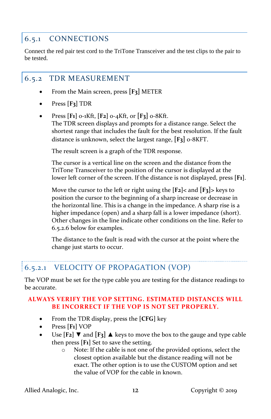## <span id="page-12-0"></span>6.5.1 CONNECTIONS

Connect the red pair test cord to the TriTone Transceiver and the test clips to the pair to be tested.

#### <span id="page-12-1"></span>6.5.2 TDR MEASUREMENT

- From the Main screen, press **[F3]** METER
- Press **[F3]** TDR
- Press **[F1]** 0-1Kft, **[F2]** 0-4Kft, or **[F3]** 0-8Kft. The TDR screen displays and prompts for a distance range. Select the shortest range that includes the fault for the best resolution. If the fault distance is unknown, select the largest range, **[F3]** 0-8KFT.

The result screen is a graph of the TDR response.

The cursor is a vertical line on the screen and the distance from the TriTone Transceiver to the position of the cursor is displayed at the lower left corner of the screen. If the distance is not displayed, press **[F1]**.

Move the cursor to the left or right using the **[F2]<** and **[F3]>** keys to position the cursor to the beginning of a sharp increase or decrease in the horizontal line. This is a change in the impedance. A sharp rise is a higher impedance (open) and a sharp fall is a lower impedance (short). Other changes in the line indicate other conditions on the line. Refer to [6.5.2.6 below](#page-14-0) for examples.

The distance to the fault is read with the cursor at the point where the change just starts to occur.

## <span id="page-12-2"></span>6.5.2.1 VELOCITY OF PROPAGATION (VOP)

The VOP must be set for the type cable you are testing for the distance readings to be accurate.

#### **ALWAYS VERIFY THE VOP SETTING. ESTIMATED DISTANCES WILL BE INCORRECT IF THE VOP IS NOT SET PROPERLY.**

- From the TDR display, press the **[CFG]** key
- Press **[F1]** VOP
- Use  $\begin{bmatrix} \mathbf{F_2} \end{bmatrix}$  **▼** and  $\begin{bmatrix} \mathbf{F_3} \end{bmatrix}$  **▲** keys to move the box to the gauge and type cable then press **[F1]** Set to save the setting.
	- o Note: If the cable is not one of the provided options, select the closest option available but the distance reading will not be exact. The other option is to use the CUSTOM option and set the value of VOP for the cable in known.

Allied Analogic, Inc. 12 Copyright © 2019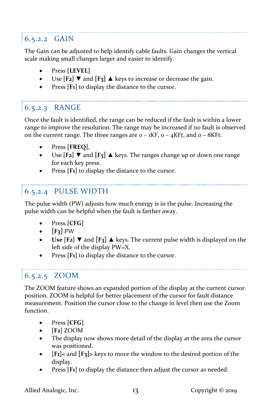## <span id="page-13-0"></span>6.5.2.2 GAIN

The Gain can be adjusted to help identify cable faults. Gain changes the vertical scale making small changes larger and easier to identify.

- Press **[LEVEL]**
- Use  $[F_2]$  ▼ and  $[F_3]$  ▲ keys to increase or decrease the gain.
- Press [F<sub>1</sub>] to display the distance to the cursor.

## <span id="page-13-1"></span>6.5.2.3 RANGE

Once the fault is identified, the range can be reduced if the fault is within a lower range to improve the resolution. The range may be increased if no fault is observed on the current range. The three ranges are  $o - iKF$ ,  $o - 4KF$ , and  $o - 8KF$ .

- Press **[FREQ]**,
- Use **[F2]** ▼ and **[F3]** ▲ keys. The ranges change up or down one range for each key press.
- Press [F<sub>1</sub>] to display the distance to the cursor.

## <span id="page-13-2"></span>6.5.2.4 PULSE WIDTH

The pulse width (PW) adjusts how much energy is in the pulse. Increasing the pulse width can be helpful when the fault is farther away.

- Press **[CFG]**
- $\bullet$  **[F**<sub>3</sub>**]** PW
- **Use**  $[F_2]$  **▼ and**  $[F_3]$  **▲ keys. The current pulse width is displayed on the** left side of the display PW=X.
- Press [F<sub>1</sub>] to display the distance to the cursor.

## <span id="page-13-3"></span>6.5.2.5 ZOOM

The ZOOM feature shows an expanded portion of the display at the current cursor position. ZOOM is helpful for better placement of the cursor for fault distance measurement. Position the cursor close to the change in level then use the Zoom function.

- Press **[CFG]**
- **[F2]** ZOOM
- The display now shows more detail of the display at the area the cursor was positioned.
- **[F1]<** and **[F3]>** keys to move the window to the desired portion of the display.
- Press [F<sub>1</sub>] to display the distance then adjust the cursor as needed.

Allied Analogic, Inc. 13 13 Copyright © 2019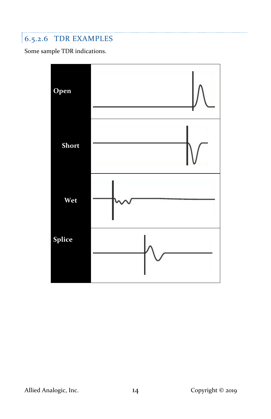# <span id="page-14-0"></span>6.5.2.6 TDR EXAMPLES

Some sample TDR indications.



Allied Analogic, Inc. 14 Copyright © 2019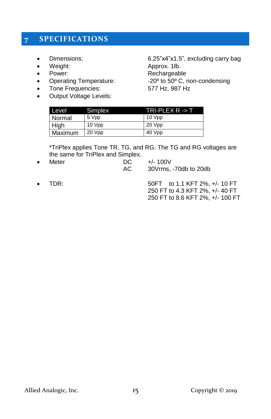## <span id="page-15-0"></span>**7 SPECIFICATIONS**

- 
- Weight: **Approx. 1lb.**
- 
- Power: Rechargeable<br>• Operating Temperature:  $20^{\circ}$  to 50° C, r • Operating Temperature:  $-20^\circ$  to  $50^\circ$  C, non-condensing
- Tone Frequencies: 577 Hz, 987 Hz
- Output Voltage Levels:

• Dimensions: 6.25"x4"x1.5", excluding carry bag

| Level   | Simplex | TRI-PLEX R -> T |
|---------|---------|-----------------|
| Normal  | 5 Vpp   | 10 Vpp          |
| High    | 10 Vpp  | 20 Vpp          |
| Maximum | 20 Vpp  | 40 Vpp          |

\*TriPlex applies Tone TR, TG, and RG. The TG and RG voltages are the same for TriPlex and Simplex.

- Meter DC +/-100V AC 30Vrms, -70db to 20db
- 

• TDR: 50FT to 1.1 KFT 2%, +/- 10 FT 250 FT to 4.3 KFT 2%, +/- 40 FT 250 FT to 8.6 KFT 2%, +/- 100 FT